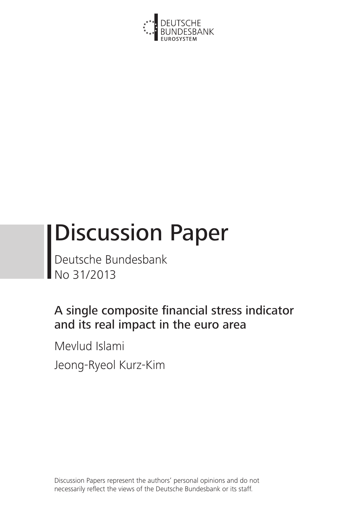

# Discussion Paper

Deutsche Bundesbank No 31/2013

# A single composite financial stress indicator and its real impact in the euro area

Mevlud Islami Jeong-Ryeol Kurz-Kim

Discussion Papers represent the authors' personal opinions and do not necessarily reflect the views of the Deutsche Bundesbank or its staff.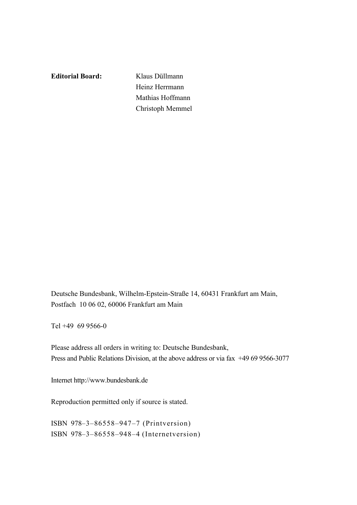**Editorial Board:** Klaus Düllmann Heinz Herrmann Mathias Hoffmann Christoph Memmel

Deutsche Bundesbank, Wilhelm-Epstein-Straße 14, 60431 Frankfurt am Main, Postfach 10 06 02, 60006 Frankfurt am Main

Tel +49 69 9566-0

Please address all orders in writing to: Deutsche Bundesbank, Press and Public Relations Division, at the above address or via fax +49 69 9566-3077

Internet http://www.bundesbank.de

Reproduction permitted only if source is stated.

ISBN 978–3–86558–947–7 (Printversion) ISBN 978–3–86558–948–4 (Internetversion)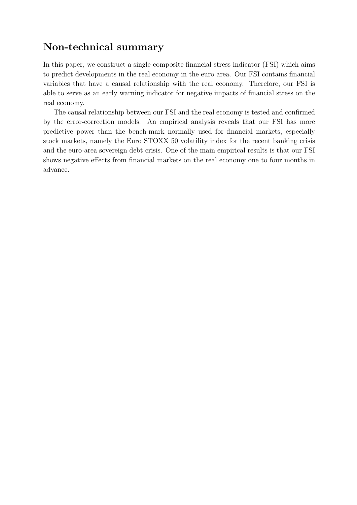## **Non-technical summary**

In this paper, we construct a single composite financial stress indicator (FSI) which aims to predict developments in the real economy in the euro area. Our FSI contains financial variables that have a causal relationship with the real economy. Therefore, our FSI is able to serve as an early warning indicator for negative impacts of financial stress on the real economy.

The causal relationship between our FSI and the real economy is tested and confirmed by the error-correction models. An empirical analysis reveals that our FSI has more predictive power than the bench-mark normally used for financial markets, especially stock markets, namely the Euro STOXX 50 volatility index for the recent banking crisis and the euro-area sovereign debt crisis. One of the main empirical results is that our FSI shows negative effects from financial markets on the real economy one to four months in advance.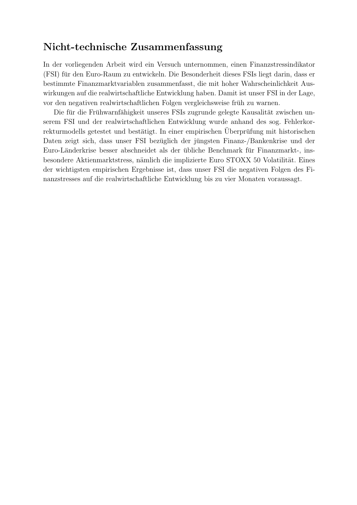## **Nicht-technische Zusammenfassung**

In der vorliegenden Arbeit wird ein Versuch unternommen, einen Finanzstressindikator (FSI) fur den Euro-Raum zu entwickeln. Die Besonderheit dieses FSIs liegt darin, dass er ¨ bestimmte Finanzmarktvariablen zusammenfasst, die mit hoher Wahrscheinlichkeit Auswirkungen auf die realwirtschaftliche Entwicklung haben. Damit ist unser FSI in der Lage, vor den negativen realwirtschaftlichen Folgen vergleichsweise früh zu warnen.

Die für die Frühwarnfähigkeit unseres FSIs zugrunde gelegte Kausalität zwischen unserem FSI und der realwirtschaftlichen Entwicklung wurde anhand des sog. Fehlerkorrekturmodells getestet und bestätigt. In einer empirischen Uberprüfung mit historischen Daten zeigt sich, dass unser FSI bezüglich der jüngsten Finanz-/Bankenkrise und der Euro-Länderkrise besser abschneidet als der übliche Benchmark für Finanzmarkt-, insbesondere Aktienmarktstress, nämlich die implizierte Euro STOXX 50 Volatilität. Eines der wichtigsten empirischen Ergebnisse ist, dass unser FSI die negativen Folgen des Finanzstresses auf die realwirtschaftliche Entwicklung bis zu vier Monaten voraussagt.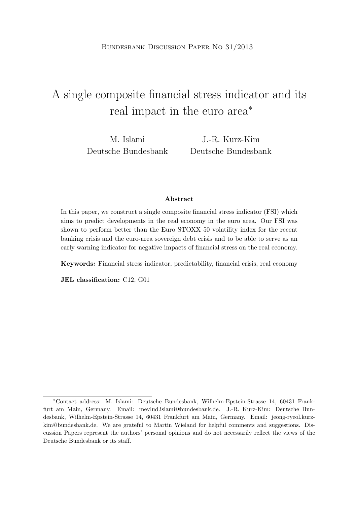## A single composite financial stress indicator and its real impact in the euro area*<sup>∗</sup>*

M. Islami Deutsche Bundesbank J.-R. Kurz-Kim Deutsche Bundesbank

#### **Abstract**

In this paper, we construct a single composite financial stress indicator (FSI) which aims to predict developments in the real economy in the euro area. Our FSI was shown to perform better than the Euro STOXX 50 volatility index for the recent banking crisis and the euro-area sovereign debt crisis and to be able to serve as an early warning indicator for negative impacts of financial stress on the real economy.

**Keywords:** Financial stress indicator, predictability, financial crisis, real economy

**JEL classification:** C12, G01

*<sup>∗</sup>*Contact address: M. Islami: Deutsche Bundesbank, Wilhelm-Epstein-Strasse 14, 60431 Frankfurt am Main, Germany. Email: mevlud.islami@bundesbank.de. J.-R. Kurz-Kim: Deutsche Bundesbank, Wilhelm-Epstein-Strasse 14, 60431 Frankfurt am Main, Germany. Email: jeong-ryeol.kurzkim@bundesbank.de. We are grateful to Martin Wieland for helpful comments and suggestions. Discussion Papers represent the authors' personal opinions and do not necessarily reflect the views of the Deutsche Bundesbank or its staff.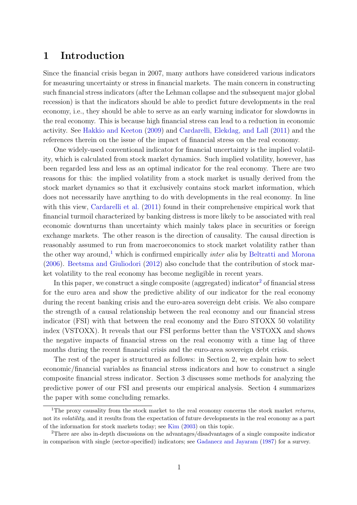## **1 Introduction**

Since the financial crisis began in 2007, many authors have considered various indicators for measuring uncertainty or stress in financial markets. The main concern in constructing such financial stress indicators (after the Lehman collapse and the subsequent major global recession) is that the indicators should be able to predict future developments in the real economy, i.e., they should be able to serve as an early warning indicator for slowdowns in the real economy. This is because high financial stress can lead to a reduction in economic activity. See Hakkio and Keeton (2009) and Cardarelli, Elekdag, and Lall (2011) and the references therein on the issue of the impact of financial stress on the real economy.

One widely-used conventional indicator for financial uncertainty is the implied volatility, which is calculated from stock market dynamics. Such implied volatility, however, has been regarded less and less as an optimal indicator for the real economy. There are two reasons for this: the implied volatility from a stock market is usually derived from the stock market dynamics so that it exclusively contains stock market information, which does not necessarily have anything to do with developments in the real economy. In line with this view, Cardarelli et al. (2011) found in their comprehensive empirical work that financial turmoil characterized by banking distress is more likely to be associated with real economic downturns than uncertainty which mainly takes place in securities or foreign exchange markets. The other reason is the direction of causality. The causal direction is reasonably assumed to run from macroeconomics to stock market volatility rather than the other way around,<sup>1</sup> which is confirmed empirically *inter alia* by Beltratti and Morona (2006). Beetsma and Giuliodori (2012) also conclude that the contribution of stock market volatility to the real economy has become negligible in recent years.

In this paper, we construct a single composite (aggregated) indicator<sup>2</sup> of financial stress for the euro area and show the predictive ability of our indicator for the real economy during the recent banking crisis and the euro-area sovereign debt crisis. We also compare the strength of a causal relationship between the real economy and our financial stress indicator (FSI) with that between the real economy and the Euro STOXX 50 volatility index (VSTOXX). It reveals that our FSI performs better than the VSTOXX and shows the negative impacts of financial stress on the real economy with a time lag of three months during the recent financial crisis and the euro-area sovereign debt crisis.

The rest of the paper is structured as follows: in Section 2, we explain how to select economic/financial variables as financial stress indicators and how to construct a single composite financial stress indicator. Section 3 discusses some methods for analyzing the predictive power of our FSI and presents our empirical analysis. Section 4 summarizes the paper with some concluding remarks.

<sup>1</sup>The proxy causality from the stock market to the real economy concerns the stock market *returns*, not its *volatility*, and it results from the expectation of future developments in the real economy as a part of the information for stock markets today; see Kim (2003) on this topic.

<sup>2</sup>There are also in-depth discussions on the advantages/disadvantages of a single composite indicator in comparison with single (sector-specified) indicators; see Gadanecz and Jayaram (1987) for a survey.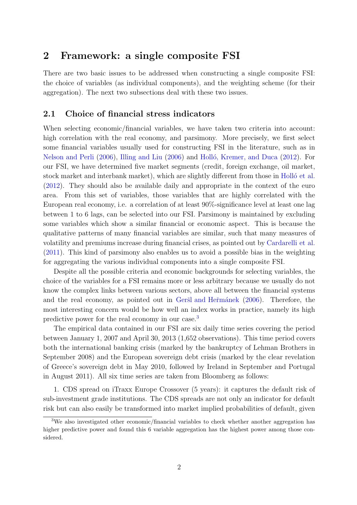## **2 Framework: a single composite FSI**

There are two basic issues to be addressed when constructing a single composite FSI: the choice of variables (as individual components), and the weighting scheme (for their aggregation). The next two subsections deal with these two issues.

#### **2.1 Choice of financial stress indicators**

When selecting economic/financial variables, we have taken two criteria into account: high correlation with the real economy, and parsimony. More precisely, we first select some financial variables usually used for constructing FSI in the literature, such as in Nelson and Perli (2006), Illing and Liu (2006) and Holló, Kremer, and Duca (2012). For our FSI, we have determined five market segments (credit, foreign exchange, oil market, stock market and interbank market), which are slightly different from those in Holló et al. (2012). They should also be available daily and appropriate in the context of the euro area. From this set of variables, those variables that are highly correlated with the European real economy, i.e. a correlation of at least 90%-significance level at least one lag between 1 to 6 lags, can be selected into our FSI. Parsimony is maintained by excluding some variables which show a similar financial or economic aspect. This is because the qualitative patterns of many financial variables are similar, such that many measures of volatility and premiums increase during financial crises, as pointed out by Cardarelli et al. (2011). This kind of parsimony also enables us to avoid a possible bias in the weighting for aggregating the various individual components into a single composite FSI.

Despite all the possible criteria and economic backgrounds for selecting variables, the choice of the variables for a FSI remains more or less arbitrary because we usually do not know the complex links between various sectors, above all between the financial systems and the real economy, as pointed out in Geršl and Hermanek (2006). Therefore, the most interesting concern would be how well an index works in practice, namely its high predictive power for the real economy in our case.<sup>3</sup>

The empirical data contained in our FSI are six daily time series covering the period between January 1, 2007 and April 30, 2013 (1,652 observations). This time period covers both the international banking crisis (marked by the bankruptcy of Lehman Brothers in September 2008) and the European sovereign debt crisis (marked by the clear revelation of Greece's sovereign debt in May 2010, followed by Ireland in September and Portugal in August 2011). All six time series are taken from Bloomberg as follows:

1. CDS spread on iTraxx Europe Crossover (5 years): it captures the default risk of sub-investment grade institutions. The CDS spreads are not only an indicator for default risk but can also easily be transformed into market implied probabilities of default, given

<sup>3</sup>We also investigated other economic/financial variables to check whether another aggregation has higher predictive power and found this 6 variable aggregation has the highest power among those considered.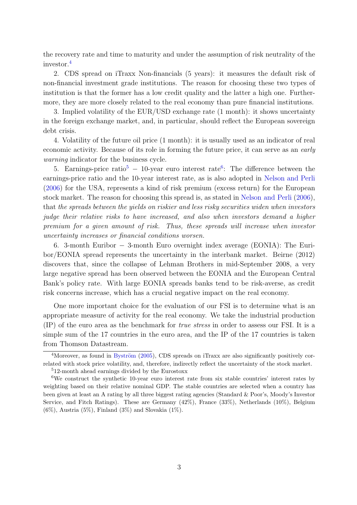the recovery rate and time to maturity and under the assumption of risk neutrality of the investor.<sup>4</sup>

2. CDS spread on iTraxx Non-financials (5 years): it measures the default risk of non-financial investment grade institutions. The reason for choosing these two types of institution is that the former has a low credit quality and the latter a high one. Furthermore, they are more closely related to the real economy than pure financial institutions.

3. Implied volatility of the EUR/USD exchange rate (1 month): it shows uncertainty in the foreign exchange market, and, in particular, should reflect the European sovereign debt crisis.

4. Volatility of the future oil price (1 month): it is usually used as an indicator of real economic activity. Because of its role in forming the future price, it can serve as an *early warning* indicator for the business cycle.

5. Earnings-price ratio<sup>5</sup> − 10-year euro interest rate<sup>6</sup>: The difference between the earnings-price ratio and the 10-year interest rate, as is also adopted in Nelson and Perli (2006) for the USA, represents a kind of risk premium (excess return) for the European stock market. The reason for choosing this spread is, as stated in Nelson and Perli (2006), that *the spreads between the yields on riskier and less risky securities widen when investors judge their relative risks to have increased, and also when investors demand a higher premium for a given amount of risk. Thus, these spreads will increase when investor uncertainty increases or financial conditions worsen.*

6. 3-month Euribor *−* 3-month Euro overnight index average (EONIA): The Euribor/EONIA spread represents the uncertainty in the interbank market. Beirne (2012) discovers that, since the collapse of Lehman Brothers in mid-September 2008, a very large negative spread has been observed between the EONIA and the European Central Bank's policy rate. With large EONIA spreads banks tend to be risk-averse, as credit risk concerns increase, which has a crucial negative impact on the real economy.

One more important choice for the evaluation of our FSI is to determine what is an appropriate measure of activity for the real economy. We take the industrial production (IP) of the euro area as the benchmark for *true stress* in order to assess our FSI. It is a simple sum of the 17 countries in the euro area, and the IP of the 17 countries is taken from Thomson Datastream.

 $4$ Moreover, as found in Byström (2005), CDS spreads on iTraxx are also significantly positively correlated with stock price volatility, and, therefore, indirectly reflect the uncertainty of the stock market.

<sup>5</sup>12-month ahead earnings divided by the Eurostoxx

<sup>6</sup>We construct the synthetic 10-year euro interest rate from six stable countries' interest rates by weighting based on their relative nominal GDP. The stable countries are selected when a country has been given at least an A rating by all three biggest rating agencies (Standard & Poor's, Moody's Investor Service, and Fitch Ratings). These are Germany (42%), France (33%), Netherlands (10%), Belgium  $(6\%)$ , Austria  $(5\%)$ , Finland  $(3\%)$  and Slovakia  $(1\%)$ .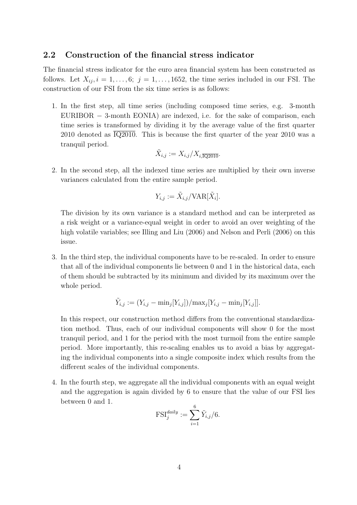#### **2.2 Construction of the financial stress indicator**

The financial stress indicator for the euro area financial system has been constructed as follows. Let  $X_{ij}$ ,  $i = 1, \ldots, 6; j = 1, \ldots, 1652$ , the time series included in our FSI. The construction of our FSI from the six time series is as follows:

1. In the first step, all time series (including composed time series, e.g. 3-month EURIBOR *−* 3-month EONIA) are indexed, i.e. for the sake of comparison, each time series is transformed by dividing it by the average value of the first quarter 2010 denoted as  $\overline{1Q2010}$ . This is because the first quarter of the year 2010 was a tranquil period.

$$
\tilde{X}_{i,j} := X_{i,j}/X_{i,\overline{\text{IQ2010}}}.
$$

2. In the second step, all the indexed time series are multiplied by their own inverse variances calculated from the entire sample period.

$$
Y_{i,j} := \tilde{X}_{i,j} / \text{VAR}[\tilde{X}_i].
$$

The division by its own variance is a standard method and can be interpreted as a risk weight or a variance-equal weight in order to avoid an over weighting of the high volatile variables; see Illing and Liu (2006) and Nelson and Perli (2006) on this issue.

3. In the third step, the individual components have to be re-scaled. In order to ensure that all of the individual components lie between 0 and 1 in the historical data, each of them should be subtracted by its minimum and divided by its maximum over the whole period.

$$
\tilde{Y}_{i,j} := (Y_{i,j} - \min_j [Y_{i,j}]) / \max_j [Y_{i,j} - \min_j [Y_{i,j}]].
$$

In this respect, our construction method differs from the conventional standardization method. Thus, each of our individual components will show 0 for the most tranquil period, and 1 for the period with the most turmoil from the entire sample period. More importantly, this re-scaling enables us to avoid a bias by aggregating the individual components into a single composite index which results from the different scales of the individual components.

4. In the fourth step, we aggregate all the individual components with an equal weight and the aggregation is again divided by 6 to ensure that the value of our FSI lies between 0 and 1.

$$
\text{FSI}_j^{daily} := \sum_{i=1}^6 \tilde{Y}_{i,j}/6.
$$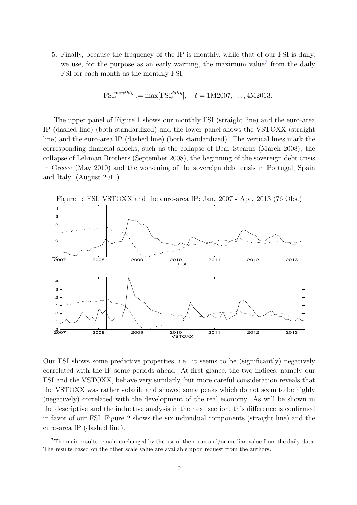5. Finally, because the frequency of the IP is monthly, while that of our FSI is daily, we use, for the purpose as an early warning, the maximum value<sup>7</sup> from the daily FSI for each month as the monthly FSI.

$$
\text{FSI}_t^{monthly} := \max[\text{FSI}_t^{daily}], \quad t = 1M2007, \dots, 4M2013.
$$

The upper panel of Figure 1 shows our monthly FSI (straight line) and the euro-area IP (dashed line) (both standardized) and the lower panel shows the VSTOXX (straight line) and the euro-area IP (dashed line) (both standardized). The vertical lines mark the corresponding financial shocks, such as the collapse of Bear Stearns (March 2008), the collapse of Lehman Brothers (September 2008), the beginning of the sovereign debt crisis in Greece (May 2010) and the worsening of the sovereign debt crisis in Portugal, Spain and Italy. (August 2011).



Our FSI shows some predictive properties, i.e. it seems to be (significantly) negatively correlated with the IP some periods ahead. At first glance, the two indices, namely our FSI and the VSTOXX, behave very similarly, but more careful consideration reveals that the VSTOXX was rather volatile and showed some peaks which do not seem to be highly (negatively) correlated with the development of the real economy. As will be shown in the descriptive and the inductive analysis in the next section, this difference is confirmed in favor of our FSI. Figure 2 shows the six individual components (straight line) and the euro-area IP (dashed line).

<sup>7</sup>The main results remain unchanged by the use of the mean and/or median value from the daily data. The results based on the other scale value are available upon request from the authors.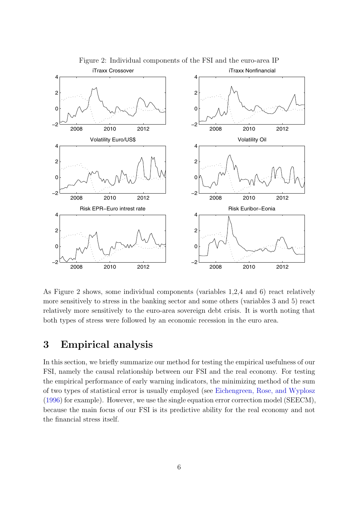

Figure 2: Individual components of the FSI and the euro-area IP

As Figure 2 shows, some individual components (variables 1,2,4 and 6) react relatively more sensitively to stress in the banking sector and some others (variables 3 and 5) react relatively more sensitively to the euro-area sovereign debt crisis. It is worth noting that both types of stress were followed by an economic recession in the euro area.

## **3 Empirical analysis**

In this section, we briefly summarize our method for testing the empirical usefulness of our FSI, namely the causal relationship between our FSI and the real economy. For testing the empirical performance of early warning indicators, the minimizing method of the sum of two types of statistical error is usually employed (see Eichengreen, Rose, and Wyplosz (1996) for example). However, we use the single equation error correction model (SEECM), because the main focus of our FSI is its predictive ability for the real economy and not the financial stress itself.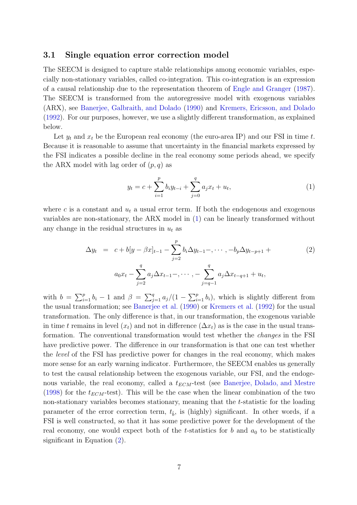#### **3.1 Single equation error correction model**

The SEECM is designed to capture stable relationships among economic variables, especially non-stationary variables, called co-integration. This co-integration is an expression of a causal relationship due to the representation theorem of Engle and Granger (1987). The SEECM is transformed from the autoregressive model with exogenous variables (ARX), see Banerjee, Galbraith, and Dolado (1990) and Kremers, Ericsson, and Dolado (1992). For our purposes, however, we use a slightly different transformation, as explained below.

Let  $y_t$  and  $x_t$  be the European real economy (the euro-area IP) and our FSI in time  $t$ . Because it is reasonable to assume that uncertainty in the financial markets expressed by the FSI indicates a possible decline in the real economy some periods ahead, we specify the ARX model with lag order of  $(p, q)$  as

$$
y_t = c + \sum_{i=1}^p b_i y_{t-i} + \sum_{j=0}^q a_j x_t + u_t,
$$
\n(1)

where  $c$  is a constant and  $u_t$  a usual error term. If both the endogenous and exogenous variables are non-stationary, the ARX model in (1) can be linearly transformed without any change in the residual structures in  $u_t$  as

$$
\Delta y_t = c + b[y - \beta x]_{t-1} - \sum_{j=2}^p b_i \Delta y_{t-1} - \dots, -b_p \Delta y_{t-p+1} + a_0 x_t - \sum_{j=2}^q a_j \Delta x_{t-1} - \dots, -\sum_{j=q-1}^q a_j \Delta x_{t-q+1} + u_t,
$$
\n(2)

with  $b = \sum_{i=1}^{p} b_i - 1$  and  $\beta = \sum_{j=1}^{q} a_j/(1 - \sum_{i=1}^{p} b_i)$ , which is slightly different from the usual transformation; see Banerjee et al. (1990) or Kremers et al. (1992) for the usual transformation. The only difference is that, in our transformation, the exogenous variable in time *t* remains in level  $(x_t)$  and not in difference  $(\Delta x_t)$  as is the case in the usual transformation. The conventional transformation would test whether the *changes* in the FSI have predictive power. The difference in our transformation is that one can test whether the *level* of the FSI has predictive power for changes in the real economy, which makes more sense for an early warning indicator. Furthermore, the SEECM enables us generally to test the causal relationship between the exogenous variable, our FSI, and the endogenous variable, the real economy, called a  $t_{ECM}$ -test (see Banerjee, Dolado, and Mestre (1998) for the  $t_{ECM}$ -test). This will be the case when the linear combination of the two non-stationary variables becomes stationary, meaning that the *t*-statistic for the loading parameter of the error correction term,  $t_{\hat{b}}$ , is (highly) significant. In other words, if a FSI is well constructed, so that it has some predictive power for the development of the real economy, one would expect both of the *t*-statistics for *b* and  $a_0$  to be statistically significant in Equation (2).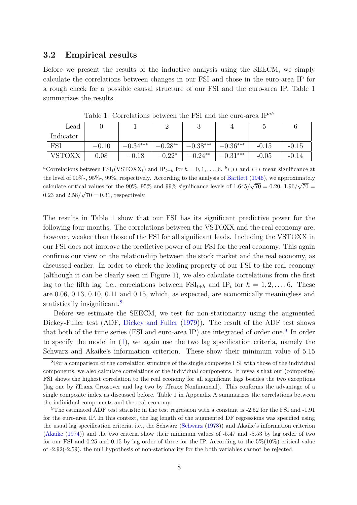#### **3.2 Empirical results**

Before we present the results of the inductive analysis using the SEECM, we simply calculate the correlations between changes in our FSI and those in the euro-area IP for a rough check for a possible causal structure of our FSI and the euro-area IP. Table 1 summarizes the results.

| Lead      |         |            |           |            |           |         |         |
|-----------|---------|------------|-----------|------------|-----------|---------|---------|
| Indicator |         |            |           |            |           |         |         |
| FS1       | $-0.10$ | $-0.34***$ | $-0.28**$ | $-0.38***$ | $0.36***$ | $-0.15$ | $-0.15$ |
| VETOVY    | 0.08    | 0.18       | $-0.22*$  | $-0.24**$  | $0.31***$ | $-0.05$ | $-0.14$ |

Table 1: Correlations between the FSI and the euro-area IP*ab*

<sup>*a*</sup>Correlations between  $\text{FSI}_t(\text{VSTOX} X_t)$  and  $\text{IP}_{t+h}$  for  $h = 0, 1, \ldots, 6$ . *b*<sup>\*</sup>*\**,\*\* and \*\*\* mean significance at the level of 90%-, 95%-, 99%, respectively. According to the analysis of Bartlett (1946), we approximately calculate critical values for the 90%, 95% and 99% significance levels of  $1.645/\sqrt{70} = 0.20$ ,  $1.96/\sqrt{70} =$ 0.23 and  $2.58/\sqrt{70} = 0.31$ , respectively.

The results in Table 1 show that our FSI has its significant predictive power for the following four months. The correlations between the VSTOXX and the real economy are, however, weaker than those of the FSI for all significant leads. Including the VSTOXX in our FSI does not improve the predictive power of our FSI for the real economy. This again confirms our view on the relationship between the stock market and the real economy, as discussed earlier. In order to check the leading property of our FSI to the real economy (although it can be clearly seen in Figure 1), we also calculate correlations from the first lag to the fifth lag, i.e., correlations between  $\text{FSI}_{t+h}$  and IP<sub>t</sub> for  $h = 1, 2, \ldots, 6$ . These are 0.06, 0.13, 0.10, 0.11 and 0.15, which, as expected, are economically meaningless and statistically insignificant.<sup>8</sup>

Before we estimate the SEECM, we test for non-stationarity using the augmented Dickey-Fuller test (ADF, Dickey and Fuller (1979)). The result of the ADF test shows that both of the time series (FSI and euro-area IP) are integrated of order one.<sup>9</sup> In order to specify the model in (1), we again use the two lag specification criteria, namely the Schwarz and Akaike's information criterion. These show their minimum value of 5.15

<sup>&</sup>lt;sup>8</sup>For a comparison of the correlation structure of the single composite FSI with those of the individual components, we also calculate correlations of the individual components. It reveals that our (composite) FSI shows the highest correlation to the real economy for all significant lags besides the two exceptions (lag one by iTraxx Crossover and lag two by iTraxx Nonfinancial). This conforms the advantage of a single composite index as discussed before. Table 1 in Appendix A summarizes the correlations between the individual components and the real economy.

<sup>9</sup>The estimated ADF test statistic in the test regression with a constant is -2.52 for the FSI and -1.91 for the euro-area IP. In this context, the lag length of the augmented DF regressions was specified using the usual lag specification criteria, i.e., the Schwarz (Schwarz (1978)) and Akaike's information criterion (Akaike (1974)) and the two criteria show their minimum values of -5.47 and -5.53 by lag order of two for our FSI and 0.25 and 0.15 by lag order of three for the IP. According to the 5%(10%) critical value of -2.92(-2.59), the null hypothesis of non-stationarity for the both variables cannot be rejected.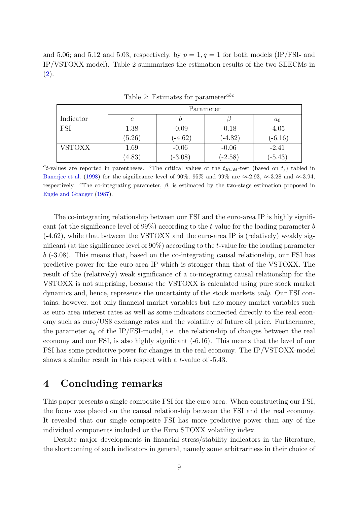and 5.06; and 5.12 and 5.03, respectively, by  $p = 1, q = 1$  for both models (IP/FSI- and IP/VSTOXX-model). Table 2 summarizes the estimation results of the two SEECMs in (2).

|               | Parameter |           |           |           |  |  |  |
|---------------|-----------|-----------|-----------|-----------|--|--|--|
| Indicator     | C         |           |           | $a_0$     |  |  |  |
| FSI           | 1.38      | $-0.09$   | $-0.18$   | $-4.05$   |  |  |  |
|               | (5.26)    | $(-4.62)$ | $(-4.82)$ | $(-6.16)$ |  |  |  |
| <b>VSTOXX</b> | 1.69      | $-0.06$   | $-0.06$   | $-2.41$   |  |  |  |
|               | (4.83)    | $(-3.08)$ | $(-2.58)$ | $(-5.43)$ |  |  |  |

Table 2: Estimates for parameter*abc*

<sup>*a*</sup><sub>t</sub>-values are reported in parentheses. <sup>*b*</sup>The critical values of the  $t_{ECM}$ -test (based on  $t_{\hat{b}}$ ) tabled in Banerjee et al. (1998) for the significance level of 90%, 95% and 99% are *≈*-2.93, *≈*-3.28 and *≈*-3.94, respectively. <sup>*c*</sup>The co-integrating parameter,  $\beta$ , is estimated by the two-stage estimation proposed in Engle and Granger (1987).

The co-integrating relationship between our FSI and the euro-area IP is highly significant (at the significance level of 99%) according to the *t*-value for the loading parameter *b* (-4.62), while that between the VSTOXX and the euro-area IP is (relatively) weakly significant (at the significance level of 90%) according to the *t*-value for the loading parameter *b* (-3.08). This means that, based on the co-integrating causal relationship, our FSI has predictive power for the euro-area IP which is stronger than that of the VSTOXX. The result of the (relatively) weak significance of a co-integrating causal relationship for the VSTOXX is not surprising, because the VSTOXX is calculated using pure stock market dynamics and, hence, represents the uncertainty of the stock markets *only*. Our FSI contains, however, not only financial market variables but also money market variables such as euro area interest rates as well as some indicators connected directly to the real economy such as euro/US\$ exchange rates and the volatility of future oil price. Furthermore, the parameter  $a_0$  of the IP/FSI-model, i.e. the relationship of changes between the real economy and our FSI, is also highly significant (-6.16). This means that the level of our FSI has some predictive power for changes in the real economy. The IP/VSTOXX-model shows a similar result in this respect with a *t*-value of -5.43.

### **4 Concluding remarks**

This paper presents a single composite FSI for the euro area. When constructing our FSI, the focus was placed on the causal relationship between the FSI and the real economy. It revealed that our single composite FSI has more predictive power than any of the individual components included or the Euro STOXX volatility index.

Despite major developments in financial stress/stability indicators in the literature, the shortcoming of such indicators in general, namely some arbitrariness in their choice of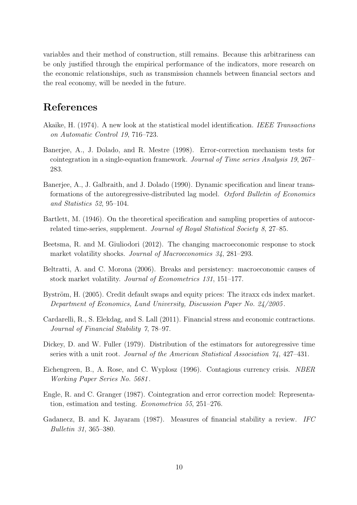variables and their method of construction, still remains. Because this arbitrariness can be only justified through the empirical performance of the indicators, more research on the economic relationships, such as transmission channels between financial sectors and the real economy, will be needed in the future.

## **References**

- Akaike, H. (1974). A new look at the statistical model identification. *IEEE Transactions on Automatic Control 19*, 716–723.
- Banerjee, A., J. Dolado, and R. Mestre (1998). Error-correction mechanism tests for cointegration in a single-equation framework. *Journal of Time series Analysis 19*, 267– 283.
- Banerjee, A., J. Galbraith, and J. Dolado (1990). Dynamic specification and linear transformations of the autoregressive-distributed lag model. *Oxford Bulletin of Economics and Statistics 52*, 95–104.
- Bartlett, M. (1946). On the theoretical specification and sampling properties of autocorrelated time-series, supplement. *Journal of Royal Statistical Society 8*, 27–85.
- Beetsma, R. and M. Giuliodori (2012). The changing macroeconomic response to stock market volatility shocks. *Journal of Macroeconomics 34*, 281–293.
- Beltratti, A. and C. Morona (2006). Breaks and persistency: macroeconomic causes of stock market volatility. *Journal of Econometrics 131*, 151–177.
- Byström, H. (2005). Credit default swaps and equity prices: The itraxx cds index market. *Department of Economics, Lund University, Discussion Paper No. 24/2005* .
- Cardarelli, R., S. Elekdag, and S. Lall (2011). Financial stress and economic contractions. *Journal of Financial Stability 7*, 78–97.
- Dickey, D. and W. Fuller (1979). Distribution of the estimators for autoregressive time series with a unit root. *Journal of the American Statistical Association 74*, 427–431.
- Eichengreen, B., A. Rose, and C. Wyplosz (1996). Contagious currency crisis. *NBER Working Paper Series No. 5681* .
- Engle, R. and C. Granger (1987). Cointegration and error correction model: Representation, estimation and testing. *Econometrica 55*, 251–276.
- Gadanecz, B. and K. Jayaram (1987). Measures of financial stability a review. *IFC Bulletin 31*, 365–380.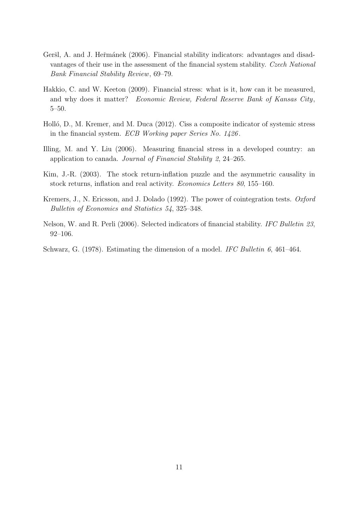- Geršl, A. and J. Heřmánek (2006). Financial stability indicators: advantages and disadvantages of their use in the assessment of the financial system stability. *Czech National Bank Financial Stability Review*, 69–79.
- Hakkio, C. and W. Keeton (2009). Financial stress: what is it, how can it be measured, and why does it matter? *Economic Review, Federal Reserve Bank of Kansas City*, 5–50.
- Holló, D., M. Kremer, and M. Duca (2012). Ciss a composite indicator of systemic stress in the financial system. *ECB Working paper Series No. 1426* .
- Illing, M. and Y. Liu (2006). Measuring financial stress in a developed country: an application to canada. *Journal of Financial Stability 2*, 24–265.
- Kim, J.-R. (2003). The stock return-inflation puzzle and the asymmetric causality in stock returns, inflation and real activity. *Economics Letters 80*, 155–160.
- Kremers, J., N. Ericsson, and J. Dolado (1992). The power of cointegration tests. *Oxford Bulletin of Economics and Statistics 54*, 325–348.
- Nelson, W. and R. Perli (2006). Selected indicators of financial stability. *IFC Bulletin 23*, 92–106.
- Schwarz, G. (1978). Estimating the dimension of a model. *IFC Bulletin 6*, 461–464.